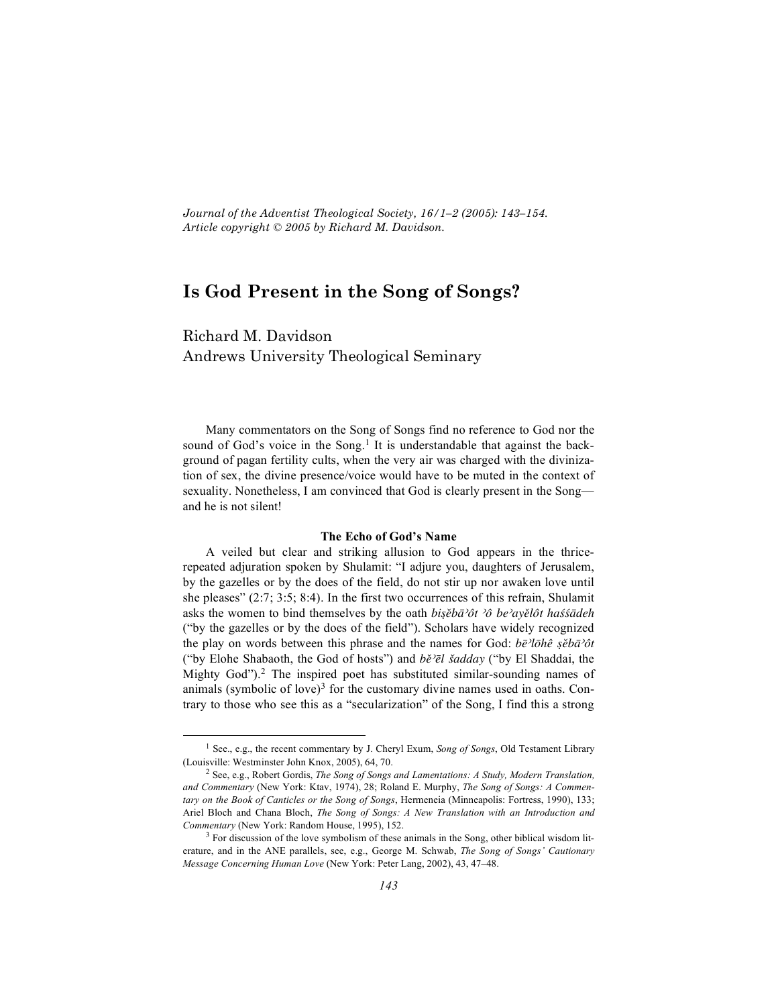*Journal of the Adventist Theological Society, 16/1–2 (2005): 143–154. Article copyright © 2005 by Richard M. Davidson.*

# **Is God Present in the Song of Songs?**

Richard M. Davidson Andrews University Theological Seminary

Many commentators on the Song of Songs find no reference to God nor the sound of God's voice in the Song.<sup>1</sup> It is understandable that against the background of pagan fertility cults, when the very air was charged with the divinization of sex, the divine presence/voice would have to be muted in the context of sexuality. Nonetheless, I am convinced that God is clearly present in the Song and he is not silent!

#### **The Echo of God's Name**

A veiled but clear and striking allusion to God appears in the thricerepeated adjuration spoken by Shulamit: "I adjure you, daughters of Jerusalem, by the gazelles or by the does of the field, do not stir up nor awaken love until she pleases" (2:7; 3:5; 8:4). In the first two occurrences of this refrain, Shulamit asks the women to bind themselves by the oath *bisĕbā*<sup>2</sup>ôt <sup>2</sup>ô be<sup>2</sup>ayělôt has⁄sãdeh ("by the gazelles or by the does of the field"). Scholars have widely recognized the play on words between this phrase and the names for God: *be*<sup>γ</sup>*lohê s*<sup>*èba*∂*t*</sup> ("by Elohe Shabaoth, the God of hosts") and *bě<sup>2</sup>el šadday* ("by El Shaddai, the Mighty God"). <sup>2</sup> The inspired poet has substituted similar-sounding names of animals (symbolic of love) $3$  for the customary divine names used in oaths. Contrary to those who see this as a "secularization" of the Song, I find this a strong

<sup>1</sup> See., e.g., the recent commentary by J. Cheryl Exum, *Song of Songs*, Old Testament Library (Louisville: Westminster John Knox, 2005), 64, 70.

<sup>2</sup> See, e.g., Robert Gordis, *The Song of Songs and Lamentations: A Study, Modern Translation, and Commentary* (New York: Ktav, 1974), 28; Roland E. Murphy, *The Song of Songs: A Commentary on the Book of Canticles or the Song of Songs*, Hermeneia (Minneapolis: Fortress, 1990), 133; Ariel Bloch and Chana Bloch, *The Song of Songs: A New Translation with an Introduction and Commentary* (New York: Random House, 1995), 152.

<sup>&</sup>lt;sup>3</sup> For discussion of the love symbolism of these animals in the Song, other biblical wisdom literature, and in the ANE parallels, see, e.g., George M. Schwab, *The Song of Songs' Cautionary Message Concerning Human Love* (New York: Peter Lang, 2002), 43, 47–48.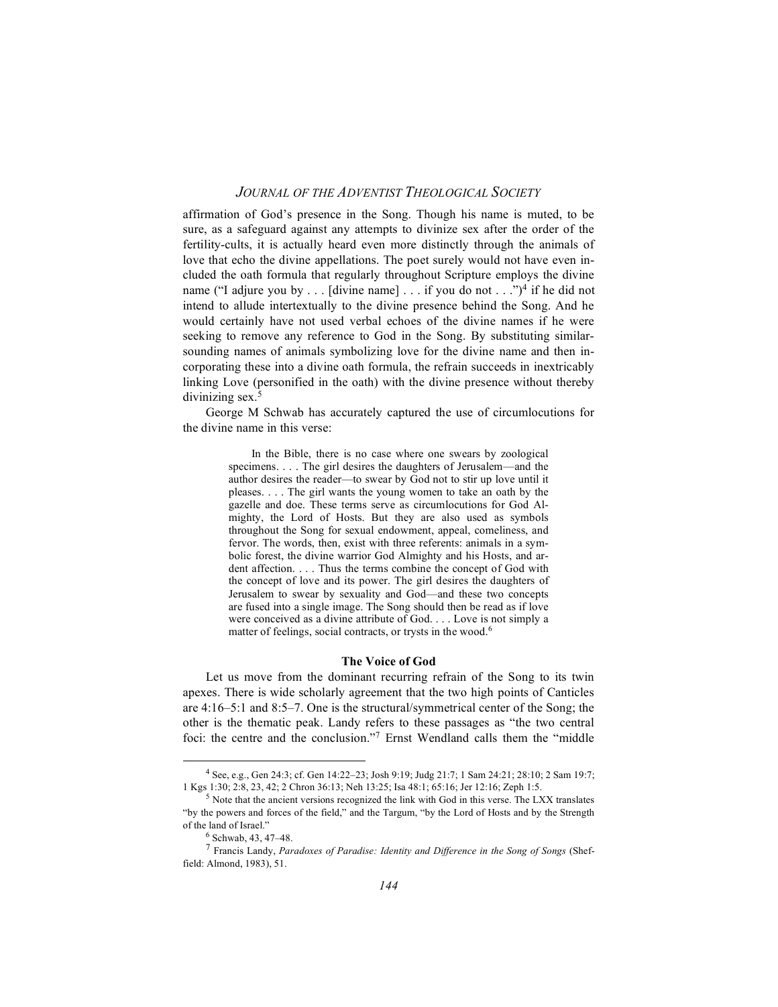affirmation of God's presence in the Song. Though his name is muted, to be sure, as a safeguard against any attempts to divinize sex after the order of the fertility-cults, it is actually heard even more distinctly through the animals of love that echo the divine appellations. The poet surely would not have even included the oath formula that regularly throughout Scripture employs the divine name ("I adjure you by . . . [divine name] . . . if you do not . . .")<sup>4</sup> if he did not intend to allude intertextually to the divine presence behind the Song. And he would certainly have not used verbal echoes of the divine names if he were seeking to remove any reference to God in the Song. By substituting similarsounding names of animals symbolizing love for the divine name and then incorporating these into a divine oath formula, the refrain succeeds in inextricably linking Love (personified in the oath) with the divine presence without thereby divinizing sex. 5

George M Schwab has accurately captured the use of circumlocutions for the divine name in this verse:

> In the Bible, there is no case where one swears by zoological specimens. . . . The girl desires the daughters of Jerusalem—and the author desires the reader—to swear by God not to stir up love until it pleases. . . . The girl wants the young women to take an oath by the gazelle and doe. These terms serve as circumlocutions for God Almighty, the Lord of Hosts. But they are also used as symbols throughout the Song for sexual endowment, appeal, comeliness, and fervor. The words, then, exist with three referents: animals in a symbolic forest, the divine warrior God Almighty and his Hosts, and ardent affection. . . . Thus the terms combine the concept of God with the concept of love and its power. The girl desires the daughters of Jerusalem to swear by sexuality and God—and these two concepts are fused into a single image. The Song should then be read as if love were conceived as a divine attribute of God. . . . Love is not simply a matter of feelings, social contracts, or trysts in the wood. 6

#### **The Voice of God**

Let us move from the dominant recurring refrain of the Song to its twin apexes. There is wide scholarly agreement that the two high points of Canticles are 4:16–5:1 and 8:5–7. One is the structural/symmetrical center of the Song; the other is the thematic peak. Landy refers to these passages as "the two central foci: the centre and the conclusion."7 Ernst Wendland calls them the "middle

<sup>4</sup> See, e.g., Gen 24:3; cf. Gen 14:22–23; Josh 9:19; Judg 21:7; 1 Sam 24:21; 28:10; 2 Sam 19:7; 1 Kgs 1:30; 2:8, 23, 42; 2 Chron 36:13; Neh 13:25; Isa 48:1; 65:16; Jer 12:16; Zeph 1:5.

<sup>5</sup> Note that the ancient versions recognized the link with God in this verse. The LXX translates "by the powers and forces of the field," and the Targum, "by the Lord of Hosts and by the Strength of the land of Israel."<br><sup>6</sup> Schwab, 43, 47–48.

<sup>6</sup> Schwab, 43, 47–48. <sup>7</sup> Francis Landy, *Paradoxes of Paradise: Identity and Difference in the Song of Songs* (Sheffield: Almond, 1983), 51.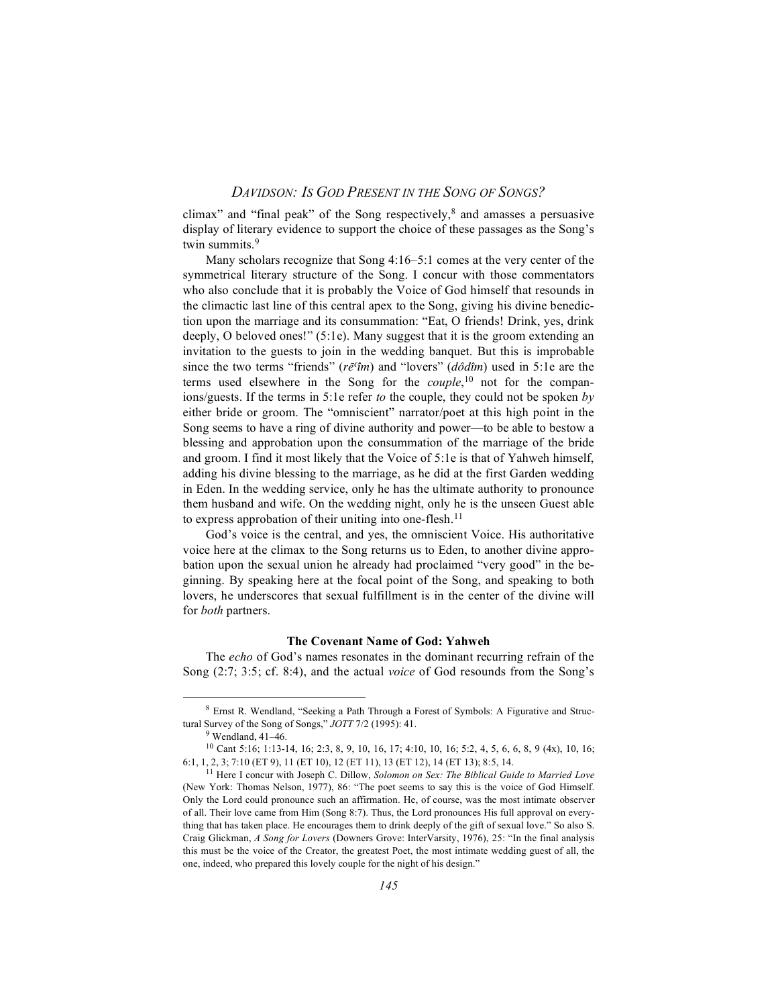climax" and "final peak" of the Song respectively, $\frac{8}{3}$  and amasses a persuasive display of literary evidence to support the choice of these passages as the Song's twin summits.<sup>9</sup>

Many scholars recognize that Song 4:16–5:1 comes at the very center of the symmetrical literary structure of the Song. I concur with those commentators who also conclude that it is probably the Voice of God himself that resounds in the climactic last line of this central apex to the Song, giving his divine benediction upon the marriage and its consummation: "Eat, O friends! Drink, yes, drink deeply, O beloved ones!" (5:1e). Many suggest that it is the groom extending an invitation to the guests to join in the wedding banquet. But this is improbable since the two terms "friends" ( $r\bar{e}$ <sup>c</sup> $\hat{i}$ *m*) and "lovers" ( $d\hat{o}d\hat{i}$ *m*) used in 5:1e are the terms used elsewhere in the Song for the *couple*, <sup>10</sup> not for the companions/guests. If the terms in 5:1e refer *to* the couple, they could not be spoken *by* either bride or groom. The "omniscient" narrator/poet at this high point in the Song seems to have a ring of divine authority and power—to be able to bestow a blessing and approbation upon the consummation of the marriage of the bride and groom. I find it most likely that the Voice of 5:1e is that of Yahweh himself, adding his divine blessing to the marriage, as he did at the first Garden wedding in Eden. In the wedding service, only he has the ultimate authority to pronounce them husband and wife. On the wedding night, only he is the unseen Guest able to express approbation of their uniting into one-flesh.<sup>11</sup>

God's voice is the central, and yes, the omniscient Voice. His authoritative voice here at the climax to the Song returns us to Eden, to another divine approbation upon the sexual union he already had proclaimed "very good" in the beginning. By speaking here at the focal point of the Song, and speaking to both lovers, he underscores that sexual fulfillment is in the center of the divine will for *both* partners.

#### **The Covenant Name of God: Yahweh**

The *echo* of God's names resonates in the dominant recurring refrain of the Song (2:7; 3:5; cf. 8:4), and the actual *voice* of God resounds from the Song's

<sup>8</sup> Ernst R. Wendland, "Seeking <sup>a</sup> Path Through <sup>a</sup> Forest of Symbols: <sup>A</sup> Figurative and Structural Survey of the Song of Songs," *JOTT* 7/2 (1995): 41.

 $9$  Wendland, 41-46.

<sup>10</sup> Cant 5:16; 1:13-14, 16; 2:3, 8, 9, 10, 16, 17; 4:10, 10, 16; 5:2, 4, 5, 6, 6, 8, 9 (4x), 10, 16; 6:1, 1, 2, 3; 7:10 (ET 9), 11 (ET 10), 12 (ET 11), 13 (ET 12), 14 (ET 13); 8:5, 14.

<sup>11</sup> Here I concur with Joseph C. Dillow, *Solomon on Sex: The Biblical Guide to Married Love* (New York: Thomas Nelson, 1977), 86: "The poet seems to say this is the voice of God Himself. Only the Lord could pronounce such an affirmation. He, of course, was the most intimate observer of all. Their love came from Him (Song 8:7). Thus, the Lord pronounces His full approval on everything that has taken place. He encourages them to drink deeply of the gift of sexual love." So also S. Craig Glickman, *A Song for Lovers* (Downers Grove: InterVarsity, 1976), 25: "In the final analysis this must be the voice of the Creator, the greatest Poet, the most intimate wedding guest of all, the one, indeed, who prepared this lovely couple for the night of his design."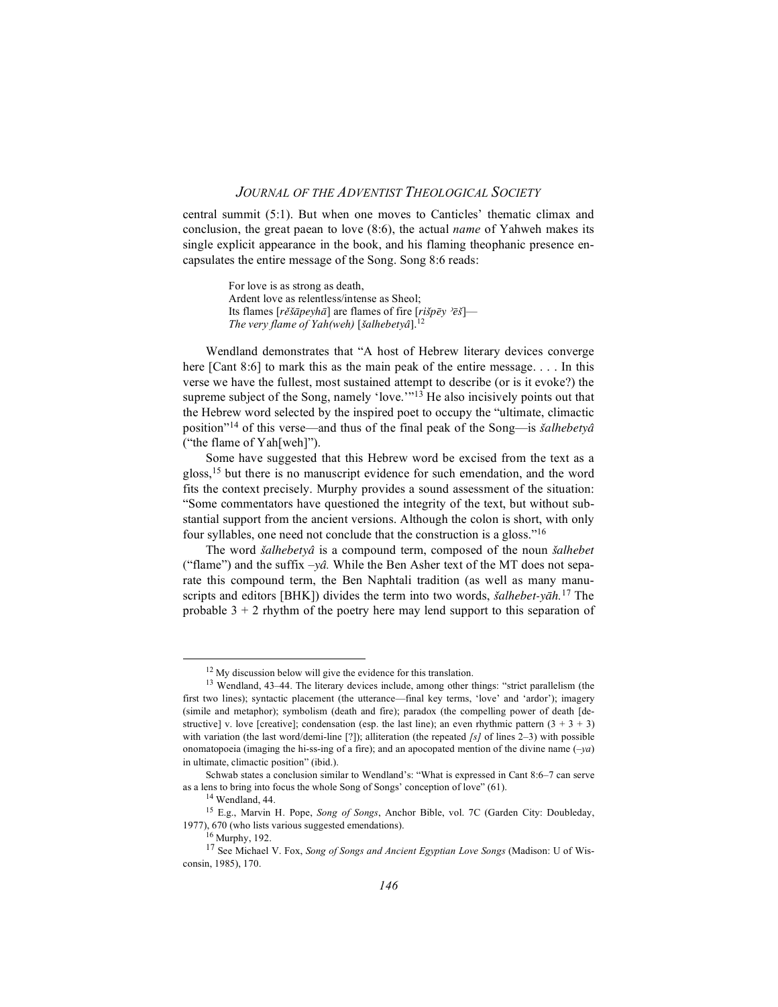central summit (5:1). But when one moves to Canticles' thematic climax and conclusion, the great paean to love (8:6), the actual *name* of Yahweh makes its single explicit appearance in the book, and his flaming theophanic presence encapsulates the entire message of the Song. Song 8:6 reads:

> For love is as strong as death, Ardent love as relentless/intense as Sheol; Its flames [*rěšāpeyhā*] are flames of fire [*rišpēy* <sup>*>ēš*]—</sup> *The very flame of Yah*(weh) [šalhebetyâ].<sup>12</sup>

Wendland demonstrates that "A host of Hebrew literary devices converge here [Cant 8:6] to mark this as the main peak of the entire message. . . . In this verse we have the fullest, most sustained attempt to describe (or is it evoke?) the supreme subject of the Song, namely 'love.'"<sup>13</sup> He also incisively points out that the Hebrew word selected by the inspired poet to occupy the "ultimate, climactic position"14 of this verse—and thus of the final peak of the Song—is *sûalhebetya®* ("the flame of Yah[weh]").

Some have suggested that this Hebrew word be excised from the text as a gloss,<sup>15</sup> but there is no manuscript evidence for such emendation, and the word fits the context precisely. Murphy provides a sound assessment of the situation: "Some commentators have questioned the integrity of the text, but without substantial support from the ancient versions. Although the colon is short, with only four syllables, one need not conclude that the construction is a gloss."16

The word *šalhebetyâ* is a compound term, composed of the noun *šalhebet* ("flame") and the suffix  $-y\hat{a}$ . While the Ben Asher text of the MT does not separate this compound term, the Ben Naphtali tradition (as well as many manuscripts and editors [BHK]) divides the term into two words, *šalhebet-yāh*.<sup>17</sup> The probable  $3 + 2$  rhythm of the poetry here may lend support to this separation of

<sup>&</sup>lt;sup>12</sup> My discussion below will give the evidence for this translation.

<sup>13</sup> Wendland, 43–44. The literary devices include, among other things: "strict parallelism (the first two lines); syntactic placement (the utterance—final key terms, 'love' and 'ardor'); imagery (simile and metaphor); symbolism (death and fire); paradox (the compelling power of death [destructive] v. love [creative]; condensation (esp. the last line); an even rhythmic pattern  $(3 + 3 + 3)$ with variation (the last word/demi-line [?]); alliteration (the repeated *[s]* of lines 2–3) with possible onomatopoeia (imaging the hi-ss-ing of a fire); and an apocopated mention of the divine name (–*ya*) in ultimate, climactic position" (ibid.).

Schwab states a conclusion similar to Wendland's: "What is expressed in Cant 8:6–7 can serve as a lens to bring into focus the whole Song of Songs' conception of love" (61).

<sup>&</sup>lt;sup>14</sup> Wendland, 44.

<sup>15</sup> E.g., Marvin H. Pope, *Song of Songs*, Anchor Bible, vol. 7C (Garden City: Doubleday, 1977), 670 (who lists various suggested emendations).<br><sup>16</sup> Murphy, 192.

<sup>16</sup> Murphy, 192. <sup>17</sup> See Michael V. Fox, *Song of Songs and Ancient Egyptian Love Songs* (Madison: <sup>U</sup> of Wisconsin, 1985), 170.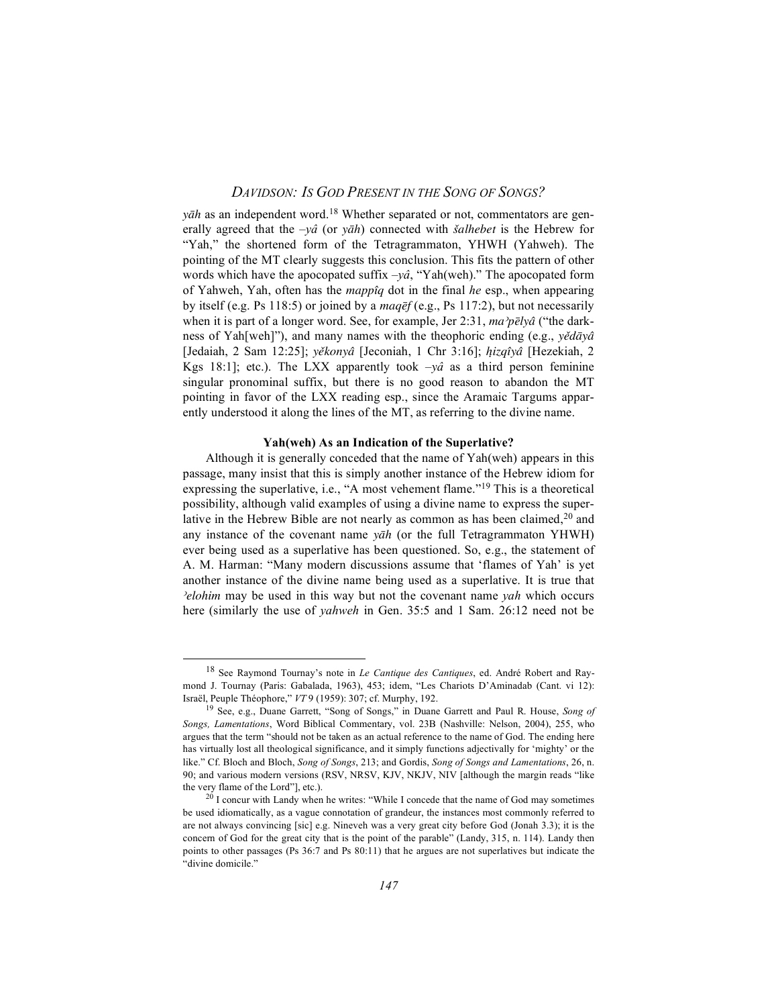*yah* as an independent word.<sup>18</sup> Whether separated or not, commentators are generally agreed that the  $-y\hat{a}$  (or  $y\bar{a}h$ ) connected with *šalhebet* is the Hebrew for "Yah," the shortened form of the Tetragrammaton, YHWH (Yahweh). The pointing of the MT clearly suggests this conclusion. This fits the pattern of other words which have the apocopated suffix *–yâ*, "Yah(weh)." The apocopated form of Yahweh, Yah, often has the *mappˆîq* dot in the final *he* esp., when appearing by itself (e.g. Ps 118:5) or joined by a *maq* ef (e.g., Ps 117:2), but not necessarily when it is part of a longer word. See, for example, Jer 2:31,  $ma^2p\bar{e}ly\hat{a}$  ("the darkness of Yah[weh]"), and many names with the theophoric ending (e.g., *yědāyâ* [Jedaiah, 2 Sam 12:25]; *yeûkonya®*[Jeconiah, 1 Chr 3:16]; *h√izqˆîya®*[Hezekiah, 2 Kgs 18:1]; etc.). The LXX apparently took *–yâ* as a third person feminine singular pronominal suffix, but there is no good reason to abandon the MT pointing in favor of the LXX reading esp., since the Aramaic Targums apparently understood it along the lines of the MT, as referring to the divine name.

#### **Yah(weh) As an Indication of the Superlative?**

Although it is generally conceded that the name of Yah(weh) appears in this passage, many insist that this is simply another instance of the Hebrew idiom for expressing the superlative, i.e., "A most vehement flame."19 This is a theoretical possibility, although valid examples of using a divine name to express the superlative in the Hebrew Bible are not nearly as common as has been claimed,<sup>20</sup> and any instance of the covenant name *yah* (or the full Tetragrammaton YHWH) ever being used as a superlative has been questioned. So, e.g., the statement of A. M. Harman: "Many modern discussions assume that 'flames of Yah' is yet another instance of the divine name being used as a superlative. It is true that *}elohim* may be used in this way but not the covenant name *yah* which occurs here (similarly the use of *yahweh* in Gen. 35:5 and 1 Sam. 26:12 need not be

<sup>18</sup> See Raymond Tournay's note in *Le Cantique des Cantiques*, ed. André Robert and Raymond J. Tournay (Paris: Gabalada, 1963), 453; idem, "Les Chariots D'Aminadab (Cant. vi 12): Israël, Peuple Théophore," *VT* 9 (1959): 307; cf. Murphy, 192.

<sup>19</sup> See, e.g., Duane Garrett, "Song of Songs," in Duane Garrett and Paul R. House, *Song of Songs, Lamentations*, Word Biblical Commentary, vol. 23B (Nashville: Nelson, 2004), 255, who argues that the term "should not be taken as an actual reference to the name of God. The ending here has virtually lost all theological significance, and it simply functions adjectivally for 'mighty' or the like." Cf. Bloch and Bloch, *Song of Songs*, 213; and Gordis, *Song of Songs and Lamentations*, 26, n. 90; and various modern versions (RSV, NRSV, KJV, NKJV, NIV [although the margin reads "like the very flame of the Lord"], etc.).

 $20$  I concur with Landy when he writes: "While I concede that the name of God may sometimes be used idiomatically, as a vague connotation of grandeur, the instances most commonly referred to are not always convincing [sic] e.g. Nineveh was a very great city before God (Jonah 3.3); it is the concern of God for the great city that is the point of the parable" (Landy, 315, n. 114). Landy then points to other passages (Ps 36:7 and Ps 80:11) that he argues are not superlatives but indicate the "divine domicile."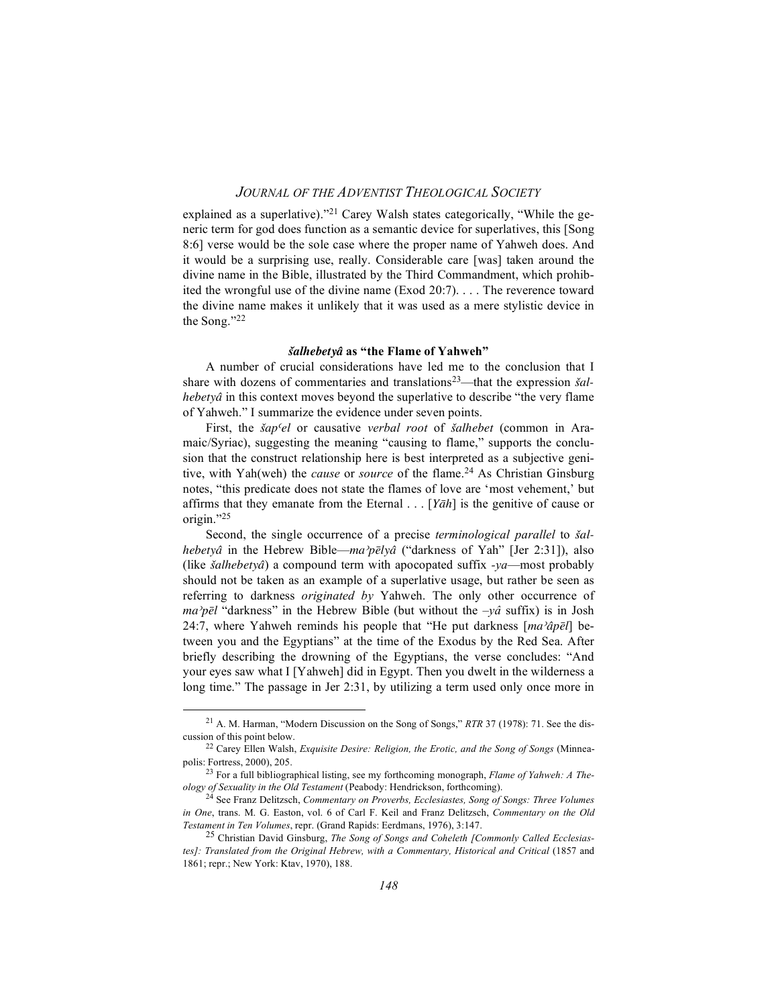explained as a superlative)."<sup>21</sup> Carey Walsh states categorically, "While the generic term for god does function as a semantic device for superlatives, this [Song 8:6] verse would be the sole case where the proper name of Yahweh does. And it would be a surprising use, really. Considerable care [was] taken around the divine name in the Bible, illustrated by the Third Commandment, which prohibited the wrongful use of the divine name (Exod 20:7). . . . The reverence toward the divine name makes it unlikely that it was used as a mere stylistic device in the Song."22

#### *sûalhebetya®***as "the Flame of Yahweh"**

A number of crucial considerations have led me to the conclusion that I share with dozens of commentaries and translations<sup>23</sup>—that the expression *šalhebetyâ* in this context moves beyond the superlative to describe "the very flame of Yahweh." I summarize the evidence under seven points.

First, the *sûap{el* or causative *verbal root* of *sûalhebet* (common in Aramaic/Syriac), suggesting the meaning "causing to flame," supports the conclusion that the construct relationship here is best interpreted as a subjective genitive, with Yah(weh) the *cause* or *source* of the flame. <sup>24</sup> As Christian Ginsburg notes, "this predicate does not state the flames of love are 'most vehement,' but affirms that they emanate from the Eternal . . . [*Yah*] is the genitive of cause or origin."25

Second, the single occurrence of a precise *terminological parallel* to *sûalhebetyâ* in the Hebrew Bible—*ma*?*pēlyâ* ("darkness of Yah" [Jer 2:31]), also (like *sûalhebetya*)*®* a compound term with apocopated suffix *-ya*—most probably should not be taken as an example of a superlative usage, but rather be seen as referring to darkness *originated by* Yahweh. The only other occurrence of  $ma^{\gamma}p\bar{e}l$  "darkness" in the Hebrew Bible (but without the  $-\gamma\hat{a}$  suffix) is in Josh 24:7, where Yahweh reminds his people that "He put darkness  $\left[\frac{ma}{\hat{q}p\bar{e}}l\right]$  between you and the Egyptians" at the time of the Exodus by the Red Sea. After briefly describing the drowning of the Egyptians, the verse concludes: "And your eyes saw what I [Yahweh] did in Egypt. Then you dwelt in the wilderness a long time." The passage in Jer 2:31, by utilizing a term used only once more in

<sup>21</sup> A. M. Harman, "Modern Discussion on the Song of Songs," *RTR* 37 (1978): 71. See the discussion of this point below.

<sup>22</sup> Carey Ellen Walsh, *Exquisite Desire: Religion, the Erotic, and the Song of Songs* (Minneapolis: Fortress, 2000), 205.

<sup>23</sup> For a full bibliographical listing, see my forthcoming monograph, *Flame of Yahweh: A Theology of Sexuality in the Old Testament* (Peabody: Hendrickson, forthcoming).

<sup>24</sup> See Franz Delitzsch, *Commentary on Proverbs, Ecclesiastes, Song of Songs: Three Volumes in One*, trans. M. G. Easton, vol. 6 of Carl F. Keil and Franz Delitzsch, *Commentary on the Old* Testament in Ten Volumes, repr. (Grand Rapids: Eerdmans, 1976), 3:147.<br><sup>25</sup> Christian David Ginsburg, *The Song of Songs and Coheleth [Commonly Called Ecclesias-*

*tes]: Translated from the Original Hebrew, with a Commentary, Historical and Critical* (1857 and 1861; repr.; New York: Ktav, 1970), 188.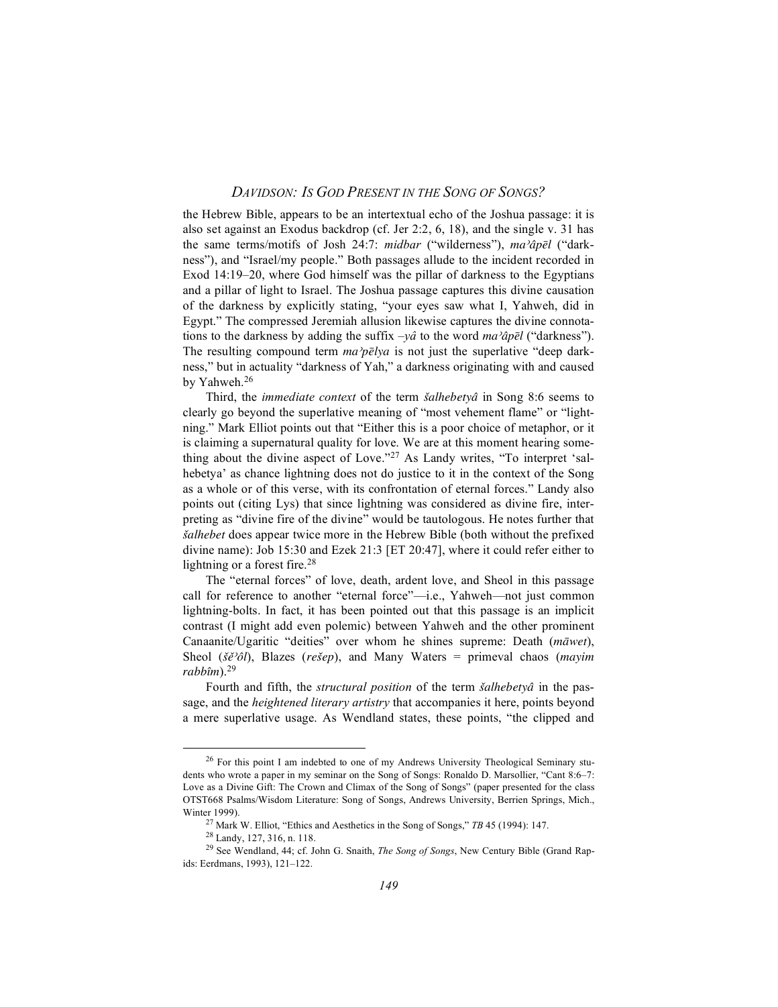the Hebrew Bible, appears to be an intertextual echo of the Joshua passage: it is also set against an Exodus backdrop (cf. Jer 2:2, 6, 18), and the single v. 31 has the same terms/motifs of Josh 24:7: *midbar* ("wilderness"), *ma<sup>3</sup>apel* ("darkness"), and "Israel/my people." Both passages allude to the incident recorded in Exod 14:19–20, where God himself was the pillar of darkness to the Egyptians and a pillar of light to Israel. The Joshua passage captures this divine causation of the darkness by explicitly stating, "your eyes saw what I, Yahweh, did in Egypt." The compressed Jeremiah allusion likewise captures the divine connotations to the darkness by adding the suffix  $-y\hat{a}$  to the word  $m\hat{a}\hat{p}\bar{e}l$  ("darkness"). The resulting compound term  $ma^{\gamma}p\bar{e}lya$  is not just the superlative "deep darkness," but in actuality "darkness of Yah," a darkness originating with and caused by Yahweh. 26

Third, the *immediate context* of the term *šalhebetyâ* in Song 8:6 seems to clearly go beyond the superlative meaning of "most vehement flame" or "lightning." Mark Elliot points out that "Either this is a poor choice of metaphor, or it is claiming a supernatural quality for love. We are at this moment hearing something about the divine aspect of Love."27 As Landy writes, "To interpret 'salhebetya' as chance lightning does not do justice to it in the context of the Song as a whole or of this verse, with its confrontation of eternal forces." Landy also points out (citing Lys) that since lightning was considered as divine fire, interpreting as "divine fire of the divine" would be tautologous. He notes further that *sûalhebet* does appear twice more in the Hebrew Bible (both without the prefixed divine name): Job 15:30 and Ezek 21:3 [ET 20:47], where it could refer either to lightning or a forest fire.<sup>28</sup>

The "eternal forces" of love, death, ardent love, and Sheol in this passage call for reference to another "eternal force"—i.e., Yahweh—not just common lightning-bolts. In fact, it has been pointed out that this passage is an implicit contrast (I might add even polemic) between Yahweh and the other prominent Canaanite/Ugaritic "deities" over whom he shines supreme: Death (*maœwet*), Sheol ( $\delta \check{e}$ <sup>2</sup> $\delta l$ ), Blazes (*rešep*), and Many Waters = primeval chaos (*mayim*) *rabbˆîm*). 29

Fourth and fifth, the *structural position* of the term *šalhebetya* in the passage, and the *heightened literary artistry* that accompanies it here, points beyond a mere superlative usage. As Wendland states, these points, "the clipped and

<sup>&</sup>lt;sup>26</sup> For this point I am indebted to one of my Andrews University Theological Seminary students who wrote a paper in my seminar on the Song of Songs: Ronaldo D. Marsollier, "Cant 8:6–7: Love as a Divine Gift: The Crown and Climax of the Song of Songs" (paper presented for the class OTST668 Psalms/Wisdom Literature: Song of Songs, Andrews University, Berrien Springs, Mich., Winter 1999).

<sup>27</sup> Mark W. Elliot, "Ethics and Aesthetics in the Song of Songs," *TB* 45 (1994): 147.

<sup>28</sup> Landy, 127, 316, n. 118.

<sup>29</sup> See Wendland, 44; cf. John G. Snaith, *The Song of Songs*, New Century Bible (Grand Rapids: Eerdmans, 1993), 121–122.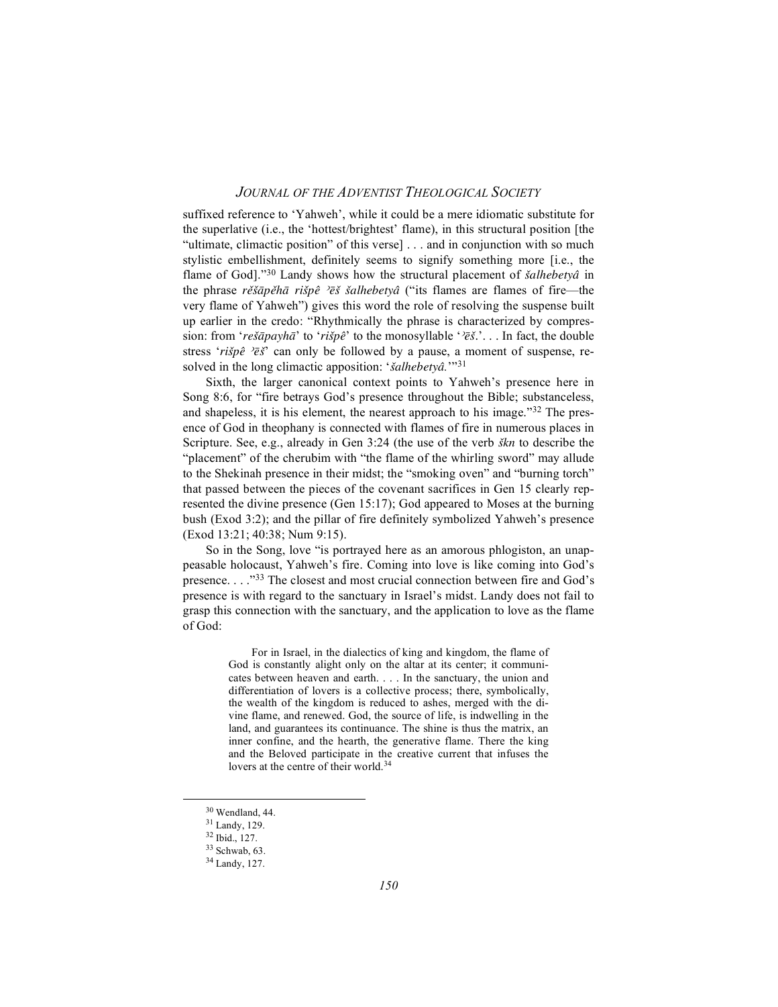suffixed reference to 'Yahweh', while it could be a mere idiomatic substitute for the superlative (i.e., the 'hottest/brightest' flame), in this structural position [the "ultimate, climactic position" of this verse] . . . and in conjunction with so much stylistic embellishment, definitely seems to signify something more [i.e., the flame of God]."<sup>30</sup> Landy shows how the structural placement of *šalhebetyâ* in the phrase *rěšāpěhā rišpê <sup>></sup>ēš šalhebetyâ* ("its flames are flames of fire—the very flame of Yahweh") gives this word the role of resolving the suspense built up earlier in the credo: "Rhythmically the phrase is characterized by compression: from '*rešāpayhā*' to '*rišpê*' to the monosyllable '*'* $e^x$ ;'... In fact, the double stress ' $ri\breve{\mathfrak{g}}\hat{e}$ ' $\bar{\mathfrak{g}}\breve{\mathfrak{g}}$ ' can only be followed by a pause, a moment of suspense, resolved in the long climactic apposition: '*šalhebetyâ*.'"<sup>31</sup>

Sixth, the larger canonical context points to Yahweh's presence here in Song 8:6, for "fire betrays God's presence throughout the Bible; substanceless, and shapeless, it is his element, the nearest approach to his image."<sup>32</sup> The presence of God in theophany is connected with flames of fire in numerous places in Scripture. See, e.g., already in Gen 3:24 (the use of the verb *sûkn* to describe the "placement" of the cherubim with "the flame of the whirling sword" may allude to the Shekinah presence in their midst; the "smoking oven" and "burning torch" that passed between the pieces of the covenant sacrifices in Gen 15 clearly represented the divine presence (Gen 15:17); God appeared to Moses at the burning bush (Exod 3:2); and the pillar of fire definitely symbolized Yahweh's presence (Exod 13:21; 40:38; Num 9:15).

So in the Song, love "is portrayed here as an amorous phlogiston, an unappeasable holocaust, Yahweh's fire. Coming into love is like coming into God's presence. . . ."33 The closest and most crucial connection between fire and God's presence is with regard to the sanctuary in Israel's midst. Landy does not fail to grasp this connection with the sanctuary, and the application to love as the flame of God:

> For in Israel, in the dialectics of king and kingdom, the flame of God is constantly alight only on the altar at its center; it communicates between heaven and earth. . . . In the sanctuary, the union and differentiation of lovers is a collective process; there, symbolically, the wealth of the kingdom is reduced to ashes, merged with the divine flame, and renewed. God, the source of life, is indwelling in the land, and guarantees its continuance. The shine is thus the matrix, an inner confine, and the hearth, the generative flame. There the king and the Beloved participate in the creative current that infuses the lovers at the centre of their world. 34

<sup>30</sup> Wendland, 44.

<sup>31</sup> Landy, 129.

<sup>32</sup> Ibid., 127.

<sup>33</sup> Schwab, 63.

<sup>34</sup> Landy, 127.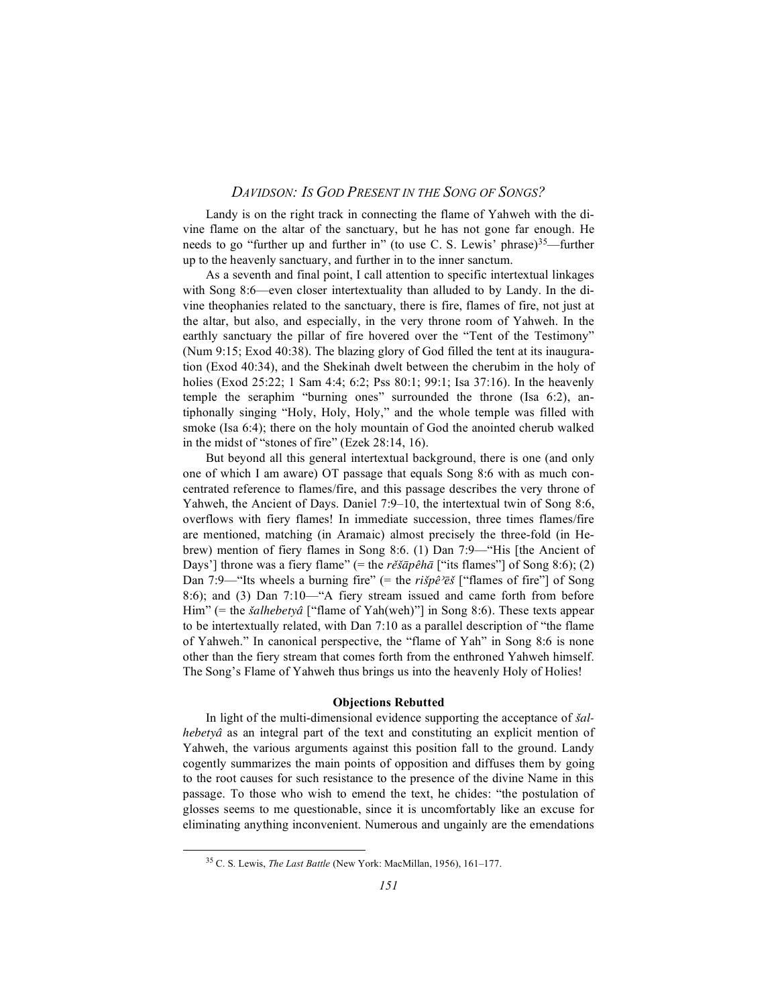Landy is on the right track in connecting the flame of Yahweh with the divine flame on the altar of the sanctuary, but he has not gone far enough. He needs to go "further up and further in" (to use C. S. Lewis' phrase) $35$ —further up to the heavenly sanctuary, and further in to the inner sanctum.

As a seventh and final point, I call attention to specific intertextual linkages with Song 8:6—even closer intertextuality than alluded to by Landy. In the divine theophanies related to the sanctuary, there is fire, flames of fire, not just at the altar, but also, and especially, in the very throne room of Yahweh. In the earthly sanctuary the pillar of fire hovered over the "Tent of the Testimony" (Num 9:15; Exod 40:38). The blazing glory of God filled the tent at its inauguration (Exod 40:34), and the Shekinah dwelt between the cherubim in the holy of holies (Exod 25:22; 1 Sam 4:4; 6:2; Pss 80:1; 99:1; Isa 37:16). In the heavenly temple the seraphim "burning ones" surrounded the throne (Isa 6:2), antiphonally singing "Holy, Holy, Holy," and the whole temple was filled with smoke (Isa 6:4); there on the holy mountain of God the anointed cherub walked in the midst of "stones of fire" (Ezek 28:14, 16).

But beyond all this general intertextual background, there is one (and only one of which I am aware) OT passage that equals Song 8:6 with as much concentrated reference to flames/fire, and this passage describes the very throne of Yahweh, the Ancient of Days. Daniel 7:9–10, the intertextual twin of Song 8:6, overflows with fiery flames! In immediate succession, three times flames/fire are mentioned, matching (in Aramaic) almost precisely the three-fold (in Hebrew) mention of fiery flames in Song 8:6. (1) Dan 7:9—"His [the Ancient of Days'] throne was a fiery flame" (= the  $r\check{e}\check{s}\bar{a}p\hat{e}h\bar{a}$  ["its flames"] of Song 8:6); (2) Dan 7:9—"Its wheels a burning fire" (= the  $ri\breve{s}p\hat{e}$ 'e $\breve{s}$ ] ("flames of fire"] of Song 8:6); and (3) Dan 7:10—"A fiery stream issued and came forth from before Him" (= the *šalhebetyâ* ["flame of Yah(weh)"] in Song 8:6). These texts appear to be intertextually related, with Dan 7:10 as a parallel description of "the flame of Yahweh." In canonical perspective, the "flame of Yah" in Song 8:6 is none other than the fiery stream that comes forth from the enthroned Yahweh himself. The Song's Flame of Yahweh thus brings us into the heavenly Holy of Holies!

#### **Objections Rebutted**

In light of the multi-dimensional evidence supporting the acceptance of *sûalhebetyâ* as an integral part of the text and constituting an explicit mention of Yahweh, the various arguments against this position fall to the ground. Landy cogently summarizes the main points of opposition and diffuses them by going to the root causes for such resistance to the presence of the divine Name in this passage. To those who wish to emend the text, he chides: "the postulation of glosses seems to me questionable, since it is uncomfortably like an excuse for eliminating anything inconvenient. Numerous and ungainly are the emendations

<sup>35</sup> C. S. Lewis, *The Last Battle* (New York: MacMillan, 1956), 161–177.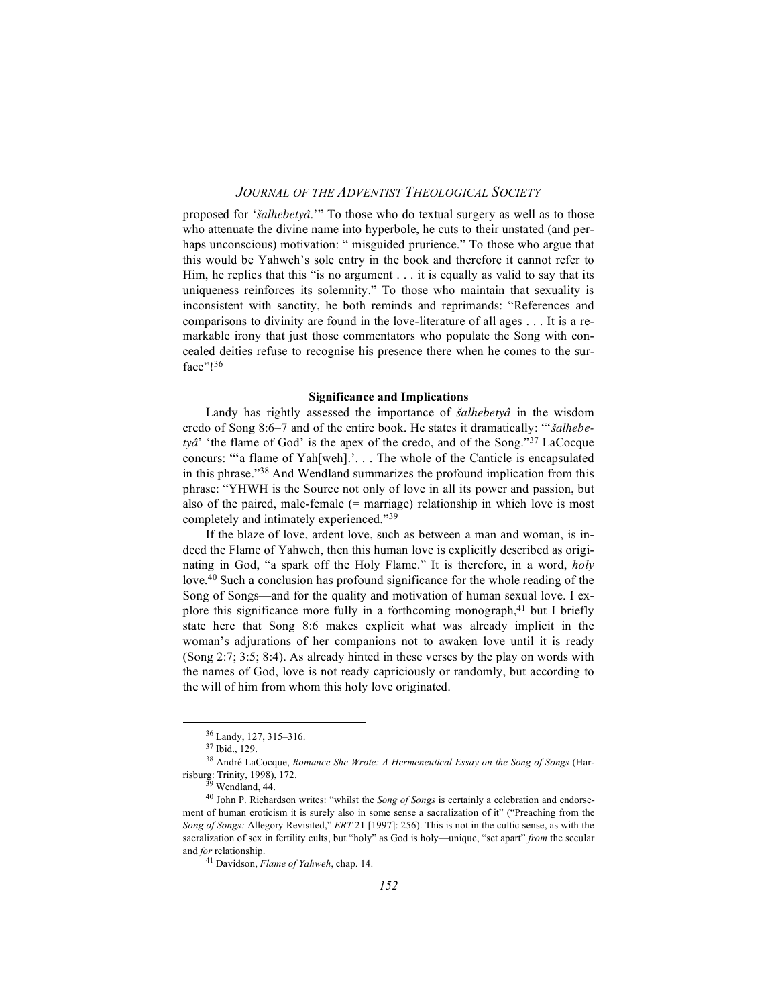proposed for '*sûalhebetya*.*®*'" To those who do textual surgery as well as to those who attenuate the divine name into hyperbole, he cuts to their unstated (and perhaps unconscious) motivation: " misguided prurience." To those who argue that this would be Yahweh's sole entry in the book and therefore it cannot refer to Him, he replies that this "is no argument . . . it is equally as valid to say that its uniqueness reinforces its solemnity." To those who maintain that sexuality is inconsistent with sanctity, he both reminds and reprimands: "References and comparisons to divinity are found in the love-literature of all ages . . . It is a remarkable irony that just those commentators who populate the Song with concealed deities refuse to recognise his presence there when he comes to the surface"!36

#### **Significance and Implications**

Landy has rightly assessed the importance of *šalhebetyâ* in the wisdom credo of Song 8:6–7 and of the entire book. He states it dramatically: "'*sûalhebetya®*' 'the flame of God' is the apex of the credo, and of the Song."37 LaCocque concurs: "'a flame of Yah[weh].'. . . The whole of the Canticle is encapsulated in this phrase."38 And Wendland summarizes the profound implication from this phrase: "YHWH is the Source not only of love in all its power and passion, but also of the paired, male-female (= marriage) relationship in which love is most completely and intimately experienced."39

If the blaze of love, ardent love, such as between a man and woman, is indeed the Flame of Yahweh, then this human love is explicitly described as originating in God, "a spark off the Holy Flame." It is therefore, in a word, *holy* love.<sup>40</sup> Such a conclusion has profound significance for the whole reading of the Song of Songs—and for the quality and motivation of human sexual love. I explore this significance more fully in a forthcoming monograph, <sup>41</sup> but I briefly state here that Song 8:6 makes explicit what was already implicit in the woman's adjurations of her companions not to awaken love until it is ready (Song 2:7; 3:5; 8:4). As already hinted in these verses by the play on words with the names of God, love is not ready capriciously or randomly, but according to the will of him from whom this holy love originated.

<sup>36</sup> Landy, 127, 315–316.

<sup>37</sup> Ibid., 129.

<sup>38</sup> André LaCocque, *Romance She Wrote: A Hermeneutical Essay on the Song of Songs* (Harrisburg: Trinity, 1998), 172.

<sup>&</sup>lt;sup>39</sup> Wendland, 44.

<sup>40</sup> John P. Richardson writes: "whilst the *Song of Songs* is certainly a celebration and endorsement of human eroticism it is surely also in some sense a sacralization of it" ("Preaching from the *Song of Songs:* Allegory Revisited," *ERT* 21 [1997]: 256). This is not in the cultic sense, as with the sacralization of sex in fertility cults, but "holy" as God is holy—unique, "set apart" *from* the secular and *for* relationship.

<sup>41</sup> Davidson, *Flame of Yahweh*, chap. 14.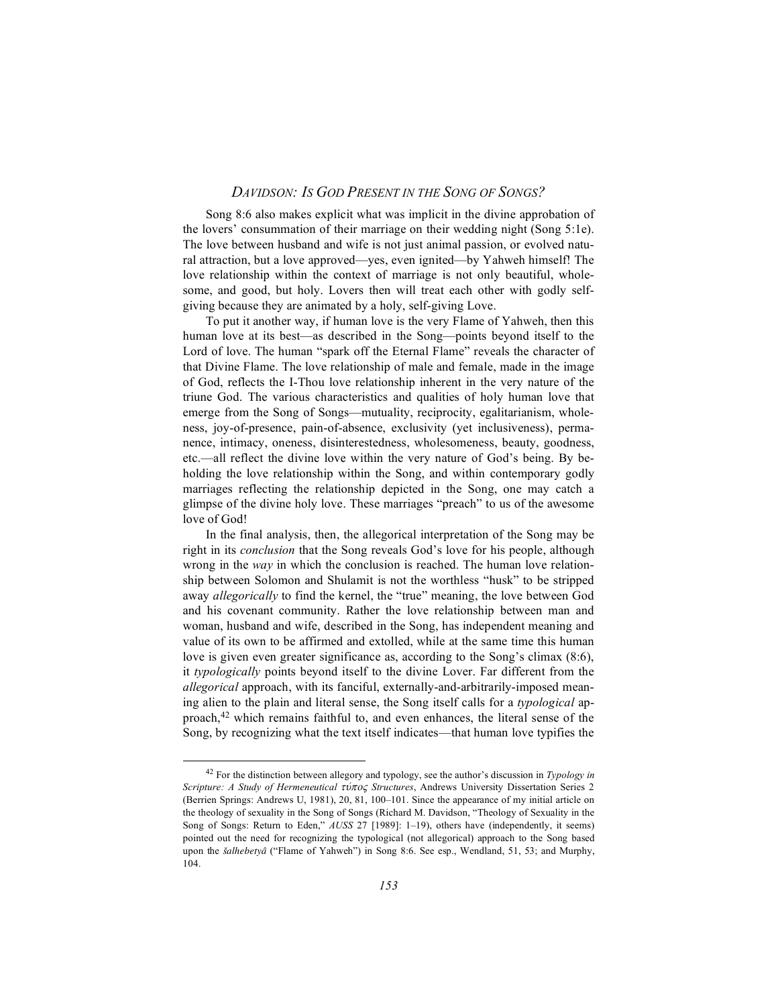Song 8:6 also makes explicit what was implicit in the divine approbation of the lovers' consummation of their marriage on their wedding night (Song 5:1e). The love between husband and wife is not just animal passion, or evolved natural attraction, but a love approved—yes, even ignited—by Yahweh himself! The love relationship within the context of marriage is not only beautiful, wholesome, and good, but holy. Lovers then will treat each other with godly selfgiving because they are animated by a holy, self-giving Love.

To put it another way, if human love is the very Flame of Yahweh, then this human love at its best—as described in the Song—points beyond itself to the Lord of love. The human "spark off the Eternal Flame" reveals the character of that Divine Flame. The love relationship of male and female, made in the image of God, reflects the I-Thou love relationship inherent in the very nature of the triune God. The various characteristics and qualities of holy human love that emerge from the Song of Songs—mutuality, reciprocity, egalitarianism, wholeness, joy-of-presence, pain-of-absence, exclusivity (yet inclusiveness), permanence, intimacy, oneness, disinterestedness, wholesomeness, beauty, goodness, etc.—all reflect the divine love within the very nature of God's being. By beholding the love relationship within the Song, and within contemporary godly marriages reflecting the relationship depicted in the Song, one may catch a glimpse of the divine holy love. These marriages "preach" to us of the awesome love of God!

In the final analysis, then, the allegorical interpretation of the Song may be right in its *conclusion* that the Song reveals God's love for his people, although wrong in the *way* in which the conclusion is reached. The human love relationship between Solomon and Shulamit is not the worthless "husk" to be stripped away *allegorically* to find the kernel, the "true" meaning, the love between God and his covenant community. Rather the love relationship between man and woman, husband and wife, described in the Song, has independent meaning and value of its own to be affirmed and extolled, while at the same time this human love is given even greater significance as, according to the Song's climax (8:6), it *typologically* points beyond itself to the divine Lover. Far different from the *allegorical* approach, with its fanciful, externally-and-arbitrarily-imposed meaning alien to the plain and literal sense, the Song itself calls for a *typological* approach, <sup>42</sup> which remains faithful to, and even enhances, the literal sense of the Song, by recognizing what the text itself indicates—that human love typifies the

<sup>42</sup> For the distinction between allegory and typology, see the author's discussion in *Typology in Scripture: A Study of Hermeneutical tu÷poß Structures*, Andrews University Dissertation Series 2 (Berrien Springs: Andrews U, 1981), 20, 81, 100–101. Since the appearance of my initial article on the theology of sexuality in the Song of Songs (Richard M. Davidson, "Theology of Sexuality in the Song of Songs: Return to Eden," *AUSS* 27 [1989]: 1–19), others have (independently, it seems) pointed out the need for recognizing the typological (not allegorical) approach to the Song based upon the *šalhebetyâ* ("Flame of Yahweh") in Song 8:6. See esp., Wendland, 51, 53; and Murphy, 104.